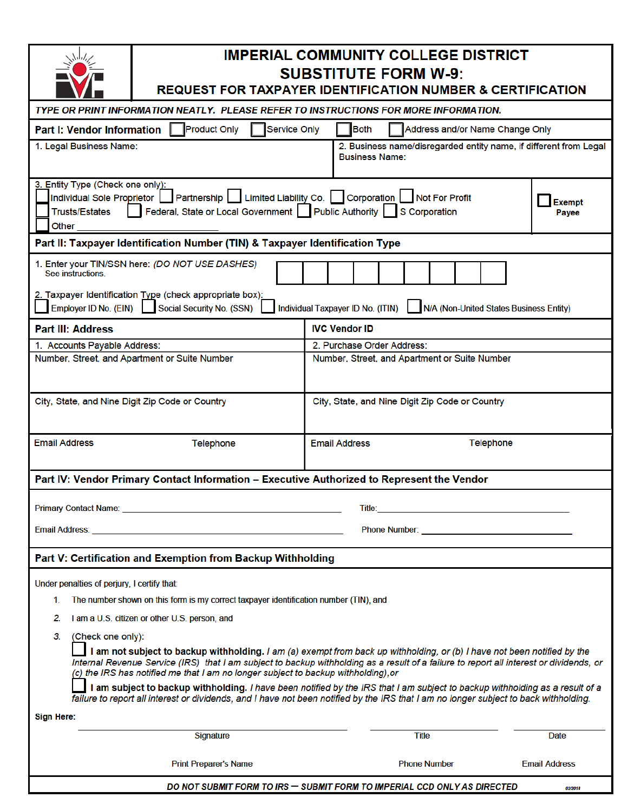|                                                                                                                                                                                                                                                                                                                                                                                                                                                                                                                                                                                                                                    | <b>IMPERIAL COMMUNITY COLLEGE DISTRICT</b><br><b>SUBSTITUTE FORM W-9:</b><br><b>REQUEST FOR TAXPAYER IDENTIFICATION NUMBER &amp; CERTIFICATION</b> |                                                 |                                                                                            |  |
|------------------------------------------------------------------------------------------------------------------------------------------------------------------------------------------------------------------------------------------------------------------------------------------------------------------------------------------------------------------------------------------------------------------------------------------------------------------------------------------------------------------------------------------------------------------------------------------------------------------------------------|----------------------------------------------------------------------------------------------------------------------------------------------------|-------------------------------------------------|--------------------------------------------------------------------------------------------|--|
| TYPE OR PRINT INFORMATION NEATLY. PLEASE REFER TO INSTRUCTIONS FOR MORE INFORMATION.                                                                                                                                                                                                                                                                                                                                                                                                                                                                                                                                               |                                                                                                                                                    |                                                 |                                                                                            |  |
| <b>Product Only</b><br><b>Service Only</b><br><b>Both</b><br>Address and/or Name Change Only<br><b>Part I: Vendor Information</b>                                                                                                                                                                                                                                                                                                                                                                                                                                                                                                  |                                                                                                                                                    |                                                 |                                                                                            |  |
| 1. Legal Business Name:                                                                                                                                                                                                                                                                                                                                                                                                                                                                                                                                                                                                            |                                                                                                                                                    |                                                 | 2. Business name/disregarded entity name, if different from Legal<br><b>Business Name:</b> |  |
| 3. Entity Type (Check one only):<br>Individual Sole Proprietor   Partnership   Limited Liability Co.   Corporation   Not For Profit<br>Exempt<br>Federal, State or Local Government   Public Authority   S Corporation<br><b>Trusts/Estates</b><br>Payee<br>Other                                                                                                                                                                                                                                                                                                                                                                  |                                                                                                                                                    |                                                 |                                                                                            |  |
| Part II: Taxpayer Identification Number (TIN) & Taxpayer Identification Type                                                                                                                                                                                                                                                                                                                                                                                                                                                                                                                                                       |                                                                                                                                                    |                                                 |                                                                                            |  |
| 1. Enter your TIN/SSN here: (DO NOT USE DASHES)<br>See instructions.<br>2. Taxpayer Identification Type (check appropriate box):<br>Employer ID No. (EIN) Social Security No. (SSN)<br>Individual Taxpayer ID No. (ITIN)<br>N/A (Non-United States Business Entity)                                                                                                                                                                                                                                                                                                                                                                |                                                                                                                                                    |                                                 |                                                                                            |  |
| <b>IVC Vendor ID</b>                                                                                                                                                                                                                                                                                                                                                                                                                                                                                                                                                                                                               |                                                                                                                                                    |                                                 |                                                                                            |  |
| <b>Part III: Address</b><br>1. Accounts Payable Address:                                                                                                                                                                                                                                                                                                                                                                                                                                                                                                                                                                           |                                                                                                                                                    | 2. Purchase Order Address:                      |                                                                                            |  |
| Number, Street, and Apartment or Suite Number                                                                                                                                                                                                                                                                                                                                                                                                                                                                                                                                                                                      |                                                                                                                                                    | Number, Street, and Apartment or Suite Number   |                                                                                            |  |
|                                                                                                                                                                                                                                                                                                                                                                                                                                                                                                                                                                                                                                    |                                                                                                                                                    |                                                 |                                                                                            |  |
| City, State, and Nine Digit Zip Code or Country                                                                                                                                                                                                                                                                                                                                                                                                                                                                                                                                                                                    |                                                                                                                                                    | City, State, and Nine Digit Zip Code or Country |                                                                                            |  |
| <b>Email Address</b><br><b>Telephone</b>                                                                                                                                                                                                                                                                                                                                                                                                                                                                                                                                                                                           |                                                                                                                                                    | <b>Email Address</b><br>Telephone               |                                                                                            |  |
| Part IV: Vendor Primary Contact Information - Executive Authorized to Represent the Vendor                                                                                                                                                                                                                                                                                                                                                                                                                                                                                                                                         |                                                                                                                                                    |                                                 |                                                                                            |  |
| <b>Primary Contact Name: Example 2018</b><br>Title:                                                                                                                                                                                                                                                                                                                                                                                                                                                                                                                                                                                |                                                                                                                                                    |                                                 |                                                                                            |  |
| <b>Email Address: Example 2008</b>                                                                                                                                                                                                                                                                                                                                                                                                                                                                                                                                                                                                 |                                                                                                                                                    |                                                 |                                                                                            |  |
| Part V: Certification and Exemption from Backup Withholding                                                                                                                                                                                                                                                                                                                                                                                                                                                                                                                                                                        |                                                                                                                                                    |                                                 |                                                                                            |  |
| Under penalties of perjury, I certify that:                                                                                                                                                                                                                                                                                                                                                                                                                                                                                                                                                                                        |                                                                                                                                                    |                                                 |                                                                                            |  |
| The number shown on this form is my correct taxpayer identification number (TIN), and<br>1.                                                                                                                                                                                                                                                                                                                                                                                                                                                                                                                                        |                                                                                                                                                    |                                                 |                                                                                            |  |
| 2.<br>I am a U.S. citizen or other U.S. person, and                                                                                                                                                                                                                                                                                                                                                                                                                                                                                                                                                                                |                                                                                                                                                    |                                                 |                                                                                            |  |
| 3.<br>(Check one only):                                                                                                                                                                                                                                                                                                                                                                                                                                                                                                                                                                                                            |                                                                                                                                                    |                                                 |                                                                                            |  |
| I am not subject to backup withholding. I am (a) exempt from back up withholding, or (b) I have not been notified by the<br>Internal Revenue Service (IRS) that I am subject to backup withholding as a result of a failure to report all interest or dividends, or<br>(c) the IRS has notified me that I am no longer subject to backup withholding), or<br>I am subject to backup withholding. I have been notified by the IRS that I am subject to backup withholding as a result of a<br>failure to report all interest or dividends, and I have not been notified by the IRS that I am no longer subject to back withholding. |                                                                                                                                                    |                                                 |                                                                                            |  |
| <b>Sign Here:</b>                                                                                                                                                                                                                                                                                                                                                                                                                                                                                                                                                                                                                  |                                                                                                                                                    |                                                 |                                                                                            |  |
| Signature                                                                                                                                                                                                                                                                                                                                                                                                                                                                                                                                                                                                                          |                                                                                                                                                    |                                                 | <b>Title</b><br>Date                                                                       |  |
| <b>Print Preparer's Name</b>                                                                                                                                                                                                                                                                                                                                                                                                                                                                                                                                                                                                       |                                                                                                                                                    | <b>Email Address</b><br><b>Phone Number</b>     |                                                                                            |  |
| DO NOT SUBMIT FORM TO IRS - SUBMIT FORM TO IMPERIAL CCD ONLY AS DIRECTED<br>02/2018                                                                                                                                                                                                                                                                                                                                                                                                                                                                                                                                                |                                                                                                                                                    |                                                 |                                                                                            |  |